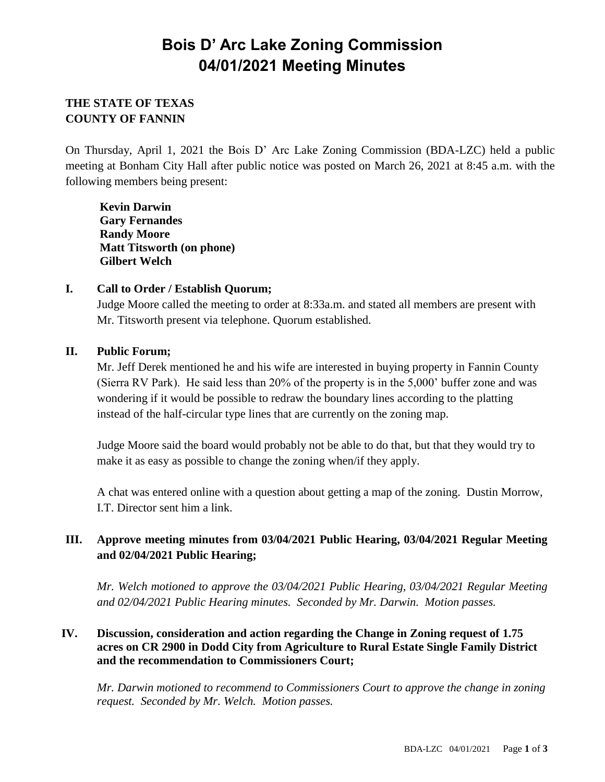# **Bois D' Arc Lake Zoning Commission 04/01/2021 Meeting Minutes**

## **THE STATE OF TEXAS COUNTY OF FANNIN**

On Thursday, April 1, 2021 the Bois D' Arc Lake Zoning Commission (BDA-LZC) held a public meeting at Bonham City Hall after public notice was posted on March 26, 2021 at 8:45 a.m. with the following members being present:

**Kevin Darwin Gary Fernandes Randy Moore Matt Titsworth (on phone) Gilbert Welch**

### **I. Call to Order / Establish Quorum;**

Judge Moore called the meeting to order at 8:33a.m. and stated all members are present with Mr. Titsworth present via telephone. Quorum established.

### **II. Public Forum;**

Mr. Jeff Derek mentioned he and his wife are interested in buying property in Fannin County (Sierra RV Park). He said less than 20% of the property is in the 5,000' buffer zone and was wondering if it would be possible to redraw the boundary lines according to the platting instead of the half-circular type lines that are currently on the zoning map.

Judge Moore said the board would probably not be able to do that, but that they would try to make it as easy as possible to change the zoning when/if they apply.

A chat was entered online with a question about getting a map of the zoning. Dustin Morrow, I.T. Director sent him a link.

## **III. Approve meeting minutes from 03/04/2021 Public Hearing, 03/04/2021 Regular Meeting and 02/04/2021 Public Hearing;**

*Mr. Welch motioned to approve the 03/04/2021 Public Hearing, 03/04/2021 Regular Meeting and 02/04/2021 Public Hearing minutes. Seconded by Mr. Darwin. Motion passes.*

### **IV. Discussion, consideration and action regarding the Change in Zoning request of 1.75 acres on CR 2900 in Dodd City from Agriculture to Rural Estate Single Family District and the recommendation to Commissioners Court;**

*Mr. Darwin motioned to recommend to Commissioners Court to approve the change in zoning request. Seconded by Mr. Welch. Motion passes.*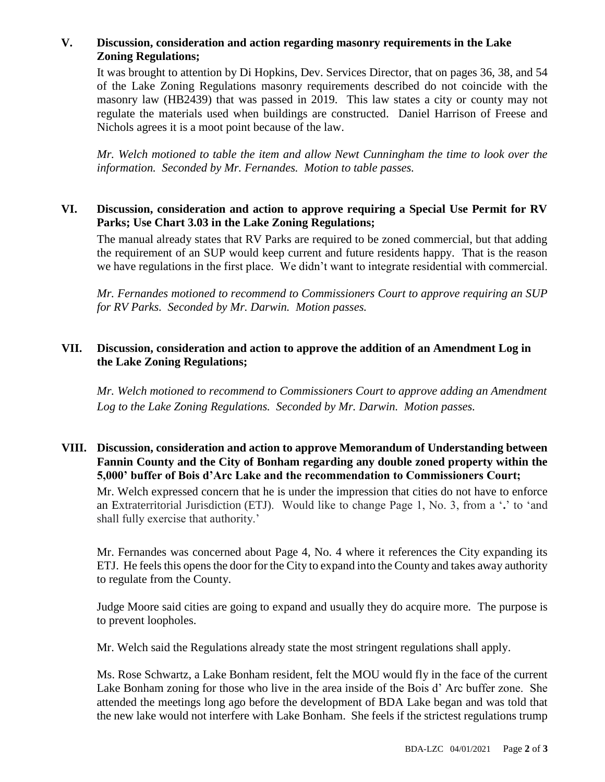### **V. Discussion, consideration and action regarding masonry requirements in the Lake Zoning Regulations;**

It was brought to attention by Di Hopkins, Dev. Services Director, that on pages 36, 38, and 54 of the Lake Zoning Regulations masonry requirements described do not coincide with the masonry law (HB2439) that was passed in 2019. This law states a city or county may not regulate the materials used when buildings are constructed. Daniel Harrison of Freese and Nichols agrees it is a moot point because of the law.

*Mr. Welch motioned to table the item and allow Newt Cunningham the time to look over the information. Seconded by Mr. Fernandes. Motion to table passes.* 

#### **VI. Discussion, consideration and action to approve requiring a Special Use Permit for RV Parks; Use Chart 3.03 in the Lake Zoning Regulations;**

The manual already states that RV Parks are required to be zoned commercial, but that adding the requirement of an SUP would keep current and future residents happy. That is the reason we have regulations in the first place. We didn't want to integrate residential with commercial.

*Mr. Fernandes motioned to recommend to Commissioners Court to approve requiring an SUP for RV Parks. Seconded by Mr. Darwin. Motion passes.*

#### **VII. Discussion, consideration and action to approve the addition of an Amendment Log in the Lake Zoning Regulations;**

*Mr. Welch motioned to recommend to Commissioners Court to approve adding an Amendment Log to the Lake Zoning Regulations. Seconded by Mr. Darwin. Motion passes.*

#### **VIII. Discussion, consideration and action to approve Memorandum of Understanding between Fannin County and the City of Bonham regarding any double zoned property within the 5,000' buffer of Bois d'Arc Lake and the recommendation to Commissioners Court;**

Mr. Welch expressed concern that he is under the impression that cities do not have to enforce an Extraterritorial Jurisdiction (ETJ). Would like to change Page 1, No. 3, from a '**.**' to 'and shall fully exercise that authority.'

Mr. Fernandes was concerned about Page 4, No. 4 where it references the City expanding its ETJ. He feels this opens the door for the City to expand into the County and takes away authority to regulate from the County.

Judge Moore said cities are going to expand and usually they do acquire more. The purpose is to prevent loopholes.

Mr. Welch said the Regulations already state the most stringent regulations shall apply.

Ms. Rose Schwartz, a Lake Bonham resident, felt the MOU would fly in the face of the current Lake Bonham zoning for those who live in the area inside of the Bois d' Arc buffer zone. She attended the meetings long ago before the development of BDA Lake began and was told that the new lake would not interfere with Lake Bonham. She feels if the strictest regulations trump